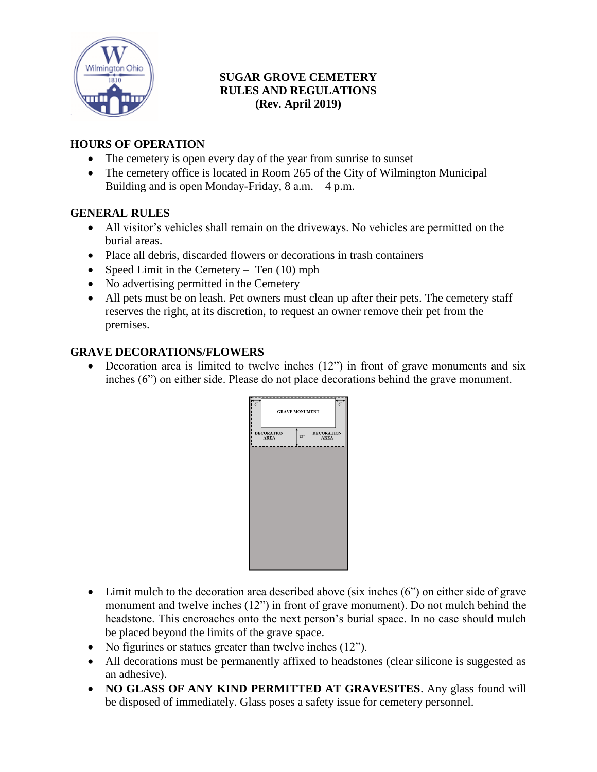

## **SUGAR GROVE CEMETERY RULES AND REGULATIONS (Rev. April 2019)**

## **HOURS OF OPERATION**

- The cemetery is open every day of the year from sunrise to sunset
- The cemetery office is located in Room 265 of the City of Wilmington Municipal Building and is open Monday-Friday,  $8$  a.m.  $-4$  p.m.

#### **GENERAL RULES**

- All visitor's vehicles shall remain on the driveways. No vehicles are permitted on the burial areas.
- Place all debris, discarded flowers or decorations in trash containers
- Speed Limit in the Cemetery Ten  $(10)$  mph
- No advertising permitted in the Cemetery
- All pets must be on leash. Pet owners must clean up after their pets. The cemetery staff reserves the right, at its discretion, to request an owner remove their pet from the premises.

## **GRAVE DECORATIONS/FLOWERS**

• Decoration area is limited to twelve inches (12") in front of grave monuments and six inches (6") on either side. Please do not place decorations behind the grave monument.

| 6<br>6 <sup>7</sup><br><b>GRAVE MONUMENT</b> |     |                                  |
|----------------------------------------------|-----|----------------------------------|
| <b>DECORATION</b><br><b>AREA</b>             | 12" | <b>DECORATION</b><br><b>AREA</b> |
|                                              |     |                                  |
|                                              |     |                                  |
|                                              |     |                                  |
|                                              |     |                                  |
|                                              |     |                                  |

- Limit mulch to the decoration area described above (six inches (6") on either side of grave monument and twelve inches (12") in front of grave monument). Do not mulch behind the headstone. This encroaches onto the next person's burial space. In no case should mulch be placed beyond the limits of the grave space.
- No figurines or statues greater than twelve inches (12").
- All decorations must be permanently affixed to headstones (clear silicone is suggested as an adhesive).
- **NO GLASS OF ANY KIND PERMITTED AT GRAVESITES**. Any glass found will be disposed of immediately. Glass poses a safety issue for cemetery personnel.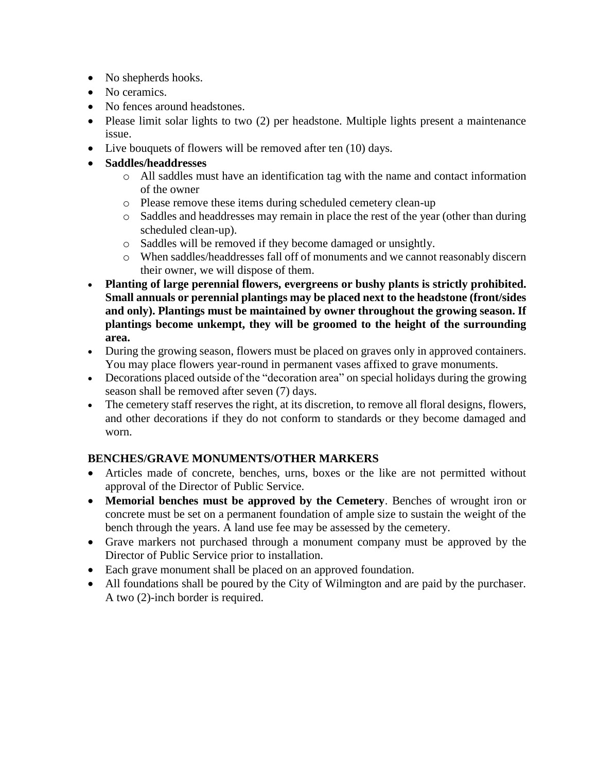- No shepherds hooks.
- No ceramics.
- No fences around headstones.
- Please limit solar lights to two (2) per headstone. Multiple lights present a maintenance issue.
- Live bouquets of flowers will be removed after ten (10) days.
- **Saddles/headdresses**
	- o All saddles must have an identification tag with the name and contact information of the owner
	- o Please remove these items during scheduled cemetery clean-up
	- o Saddles and headdresses may remain in place the rest of the year (other than during scheduled clean-up).
	- o Saddles will be removed if they become damaged or unsightly.
	- o When saddles/headdresses fall off of monuments and we cannot reasonably discern their owner, we will dispose of them.
- **Planting of large perennial flowers, evergreens or bushy plants is strictly prohibited. Small annuals or perennial plantings may be placed next to the headstone (front/sides and only). Plantings must be maintained by owner throughout the growing season. If plantings become unkempt, they will be groomed to the height of the surrounding area.**
- During the growing season, flowers must be placed on graves only in approved containers. You may place flowers year-round in permanent vases affixed to grave monuments.
- Decorations placed outside of the "decoration area" on special holidays during the growing season shall be removed after seven (7) days.
- The cemetery staff reserves the right, at its discretion, to remove all floral designs, flowers, and other decorations if they do not conform to standards or they become damaged and worn.

# **BENCHES/GRAVE MONUMENTS/OTHER MARKERS**

- Articles made of concrete, benches, urns, boxes or the like are not permitted without approval of the Director of Public Service.
- **Memorial benches must be approved by the Cemetery**. Benches of wrought iron or concrete must be set on a permanent foundation of ample size to sustain the weight of the bench through the years. A land use fee may be assessed by the cemetery.
- Grave markers not purchased through a monument company must be approved by the Director of Public Service prior to installation.
- Each grave monument shall be placed on an approved foundation.
- All foundations shall be poured by the City of Wilmington and are paid by the purchaser. A two (2)-inch border is required.